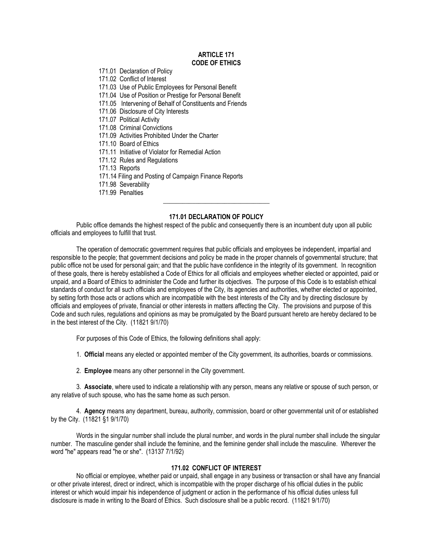#### **ARTICLE 171 CODE OF ETHICS**

171.01 Declaration of Policy

171.02 Conflict of Interest

171.03 Use of Public Employees for Personal Benefit

171.04 Use of Position or Prestige for Personal Benefit

171.05 Intervening of Behalf of Constituents and Friends

171.06 Disclosure of City Interests

171.07 Political Activity

171.08 Criminal Convictions

171.09 Activities Prohibited Under the Charter

171.10 Board of Ethics

- 171.11 Initiative of Violator for Remedial Action
- 171.12 Rules and Regulations

171.13 Reports

171.14 Filing and Posting of Campaign Finance Reports

- 171.98 Severability
- 171.99 Penalties

# **171.01 DECLARATION OF POLICY**

\_\_\_\_\_\_\_\_\_\_\_\_\_\_\_\_\_\_\_\_\_\_\_\_\_\_\_\_\_\_\_\_\_

Public office demands the highest respect of the public and consequently there is an incumbent duty upon all public officials and employees to fulfill that trust.

The operation of democratic government requires that public officials and employees be independent, impartial and responsible to the people; that government decisions and policy be made in the proper channels of governmental structure; that public office not be used for personal gain; and that the public have confidence in the integrity of its government. In recognition of these goals, there is hereby established a Code of Ethics for all officials and employees whether elected or appointed, paid or unpaid, and a Board of Ethics to administer the Code and further its objectives. The purpose of this Code is to establish ethical standards of conduct for all such officials and employees of the City, its agencies and authorities, whether elected or appointed, by setting forth those acts or actions which are incompatible with the best interests of the City and by directing disclosure by officials and employees of private, financial or other interests in matters affecting the City. The provisions and purpose of this Code and such rules, regulations and opinions as may be promulgated by the Board pursuant hereto are hereby declared to be in the best interest of the City. (11821 9/1/70)

For purposes of this Code of Ethics, the following definitions shall apply:

1. **Official** means any elected or appointed member of the City government, its authorities, boards or commissions.

2. **Employee** means any other personnel in the City government.

3. **Associate**, where used to indicate a relationship with any person, means any relative or spouse of such person, or any relative of such spouse, who has the same home as such person.

4. **Agency** means any department, bureau, authority, commission, board or other governmental unit of or established by the City. (11821 §1 9/1/70)

Words in the singular number shall include the plural number, and words in the plural number shall include the singular number. The masculine gender shall include the feminine, and the feminine gender shall include the masculine. Wherever the word "he" appears read "he or she". (13137 7/1/92)

# **171.02 CONFLICT OF INTEREST**

No official or employee, whether paid or unpaid, shall engage in any business or transaction or shall have any financial or other private interest, direct or indirect, which is incompatible with the proper discharge of his official duties in the public interest or which would impair his independence of judgment or action in the performance of his official duties unless full disclosure is made in writing to the Board of Ethics. Such disclosure shall be a public record. (11821 9/1/70)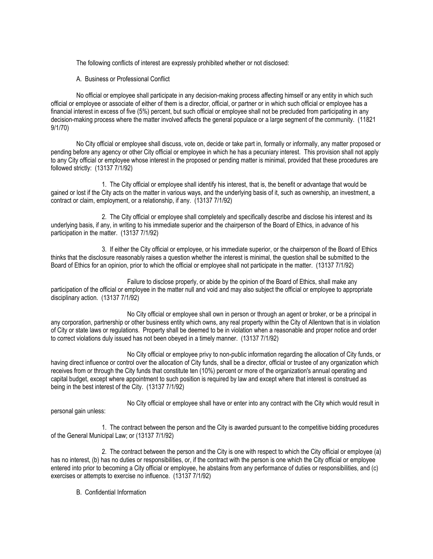The following conflicts of interest are expressly prohibited whether or not disclosed:

A. Business or Professional Conflict

No official or employee shall participate in any decision-making process affecting himself or any entity in which such official or employee or associate of either of them is a director, official, or partner or in which such official or employee has a financial interest in excess of five (5%) percent, but such official or employee shall not be precluded from participating in any decision-making process where the matter involved affects the general populace or a large segment of the community. (11821 9/1/70)

No City official or employee shall discuss, vote on, decide or take part in, formally or informally, any matter proposed or pending before any agency or other City official or employee in which he has a pecuniary interest. This provision shall not apply to any City official or employee whose interest in the proposed or pending matter is minimal, provided that these procedures are followed strictly: (13137 7/1/92)

1. The City official or employee shall identify his interest, that is, the benefit or advantage that would be gained or lost if the City acts on the matter in various ways, and the underlying basis of it, such as ownership, an investment, a contract or claim, employment, or a relationship, if any. (13137 7/1/92)

2. The City official or employee shall completely and specifically describe and disclose his interest and its underlying basis, if any, in writing to his immediate superior and the chairperson of the Board of Ethics, in advance of his participation in the matter. (13137 7/1/92)

3. If either the City official or employee, or his immediate superior, or the chairperson of the Board of Ethics thinks that the disclosure reasonably raises a question whether the interest is minimal, the question shall be submitted to the Board of Ethics for an opinion, prior to which the official or employee shall not participate in the matter. (13137 7/1/92)

Failure to disclose properly, or abide by the opinion of the Board of Ethics, shall make any participation of the official or employee in the matter null and void and may also subject the official or employee to appropriate disciplinary action. (13137 7/1/92)

No City official or employee shall own in person or through an agent or broker, or be a principal in any corporation, partnership or other business entity which owns, any real property within the City of Allentown that is in violation of City or state laws or regulations. Property shall be deemed to be in violation when a reasonable and proper notice and order to correct violations duly issued has not been obeyed in a timely manner. (13137 7/1/92)

No City official or employee privy to non-public information regarding the allocation of City funds, or having direct influence or control over the allocation of City funds, shall be a director, official or trustee of any organization which receives from or through the City funds that constitute ten (10%) percent or more of the organization's annual operating and capital budget, except where appointment to such position is required by law and except where that interest is construed as being in the best interest of the City. (13137 7/1/92)

No City official or employee shall have or enter into any contract with the City which would result in

personal gain unless:

1. The contract between the person and the City is awarded pursuant to the competitive bidding procedures of the General Municipal Law; or (13137 7/1/92)

2. The contract between the person and the City is one with respect to which the City official or employee (a) has no interest, (b) has no duties or responsibilities, or, if the contract with the person is one which the City official or employee entered into prior to becoming a City official or employee, he abstains from any performance of duties or responsibilities, and (c) exercises or attempts to exercise no influence. (13137 7/1/92)

B. Confidential Information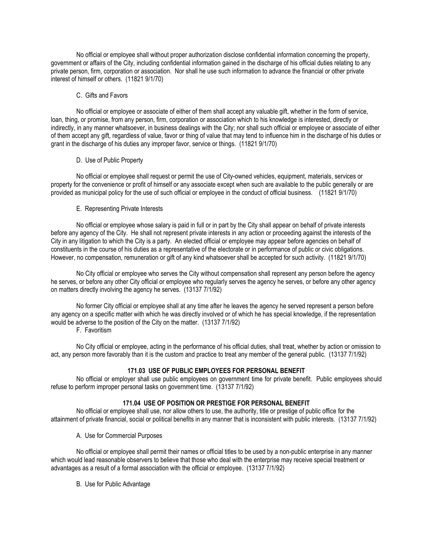No official or employee shall without proper authorization disclose confidential information concerning the property, government or affairs of the City, including confidential information gained in the discharge of his official duties relating to any private person, firm, corporation or association. Nor shall he use such information to advance the financial or other private interest of himself or others. (11821 9/1/70)

### C. Gifts and Favors

No official or employee or associate of either of them shall accept any valuable gift, whether in the form of service, loan, thing, or promise, from any person, firm, corporation or association which to his knowledge is interested, directly or indirectly, in any manner whatsoever, in business dealings with the City; nor shall such official or employee or associate of either of them accept any gift, regardless of value, favor or thing of value that may tend to influence him in the discharge of his duties or grant in the discharge of his duties any improper favor, service or things. (11821 9/1/70)

#### D. Use of Public Property

No official or employee shall request or permit the use of City-owned vehicles, equipment, materials, services or property for the convenience or profit of himself or any associate except when such are available to the public generally or are provided as municipal policy for the use of such official or employee in the conduct of official business. (11821 9/1/70)

# E. Representing Private Interests

No official or employee whose salary is paid in full or in part by the City shall appear on behalf of private interests before any agency of the City. He shall not represent private interests in any action or proceeding against the interests of the City in any litigation to which the City is a party. An elected official or employee may appear before agencies on behalf of constituents in the course of his duties as a representative of the electorate or in performance of public or civic obligations. However, no compensation, remuneration or gift of any kind whatsoever shall be accepted for such activity. (11821 9/1/70)

No City official or employee who serves the City without compensation shall represent any person before the agency he serves, or before any other City official or employee who regularly serves the agency he serves, or before any other agency on matters directly involving the agency he serves. (13137 7/1/92)

No former City official or employee shall at any time after he leaves the agency he served represent a person before any agency on a specific matter with which he was directly involved or of which he has special knowledge, if the representation would be adverse to the position of the City on the matter. (13137 7/1/92)

F. Favoritism

No City official or employee, acting in the performance of his official duties, shall treat, whether by action or omission to act, any person more favorably than it is the custom and practice to treat any member of the general public. (13137 7/1/92)

# **171.03 USE OF PUBLIC EMPLOYEES FOR PERSONAL BENEFIT**

No official or employer shall use public employees on government time for private benefit. Public employees should refuse to perform improper personal tasks on government time. (13137 7/1/92)

# **171.04 USE OF POSITION OR PRESTIGE FOR PERSONAL BENEFIT**

No official or employee shall use, nor allow others to use, the authority, title or prestige of public office for the attainment of private financial, social or political benefits in any manner that is inconsistent with public interests. (13137 7/1/92)

A. Use for Commercial Purposes

No official or employee shall permit their names or official titles to be used by a non-public enterprise in any manner which would lead reasonable observers to believe that those who deal with the enterprise may receive special treatment or advantages as a result of a formal association with the official or employee. (13137 7/1/92)

B. Use for Public Advantage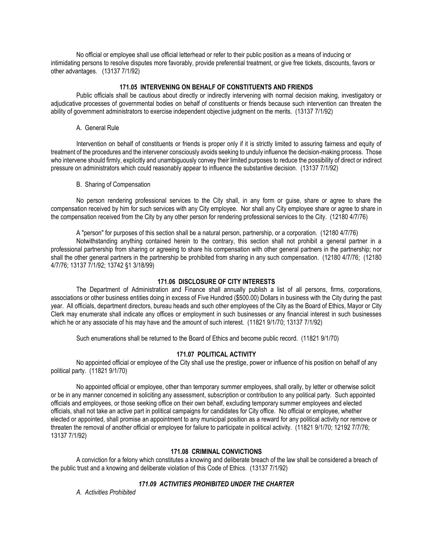No official or employee shall use official letterhead or refer to their public position as a means of inducing or intimidating persons to resolve disputes more favorably, provide preferential treatment, or give free tickets, discounts, favors or other advantages. (13137 7/1/92)

# **171.05 INTERVENING ON BEHALF OF CONSTITUENTS AND FRIENDS**

Public officials shall be cautious about directly or indirectly intervening with normal decision making, investigatory or adjudicative processes of governmental bodies on behalf of constituents or friends because such intervention can threaten the ability of government administrators to exercise independent objective judgment on the merits. (13137 7/1/92)

### A. General Rule

Intervention on behalf of constituents or friends is proper only if it is strictly limited to assuring fairness and equity of treatment of the procedures and the intervener consciously avoids seeking to unduly influence the decision-making process. Those who intervene should firmly, explicitly and unambiguously convey their limited purposes to reduce the possibility of direct or indirect pressure on administrators which could reasonably appear to influence the substantive decision. (13137 7/1/92)

B. Sharing of Compensation

No person rendering professional services to the City shall, in any form or guise, share or agree to share the compensation received by him for such services with any City employee. Nor shall any City employee share or agree to share in the compensation received from the City by any other person for rendering professional services to the City. (12180 4/7/76)

A "person" for purposes of this section shall be a natural person, partnership, or a corporation. (12180 4/7/76)

Notwithstanding anything contained herein to the contrary, this section shall not prohibit a general partner in a professional partnership from sharing or agreeing to share his compensation with other general partners in the partnership; nor shall the other general partners in the partnership be prohibited from sharing in any such compensation. (12180 4/7/76; (12180 4/7/76; 13137 7/1/92; 13742 §1 3/18/99)

# **171.06 DISCLOSURE OF CITY INTERESTS**

The Department of Administration and Finance shall annually publish a list of all persons, firms, corporations, associations or other business entities doing in excess of Five Hundred (\$500.00) Dollars in business with the City during the past year. All officials, department directors, bureau heads and such other employees of the City as the Board of Ethics, Mayor or City Clerk may enumerate shall indicate any offices or employment in such businesses or any financial interest in such businesses which he or any associate of his may have and the amount of such interest. (11821 9/1/70; 13137 7/1/92)

Such enumerations shall be returned to the Board of Ethics and become public record. (11821 9/1/70)

# **171.07 POLITICAL ACTIVITY**

No appointed official or employee of the City shall use the prestige, power or influence of his position on behalf of any political party. (11821 9/1/70)

No appointed official or employee, other than temporary summer employees, shall orally, by letter or otherwise solicit or be in any manner concerned in soliciting any assessment, subscription or contribution to any political party. Such appointed officials and employees, or those seeking office on their own behalf, excluding temporary summer employees and elected officials, shall not take an active part in political campaigns for candidates for City office. No official or employee, whether elected or appointed, shall promise an appointment to any municipal position as a reward for any political activity nor remove or threaten the removal of another official or employee for failure to participate in political activity. (11821 9/1/70; 12192 7/7/76; 13137 7/1/92)

# **171.08 CRIMINAL CONVICTIONS**

A conviction for a felony which constitutes a knowing and deliberate breach of the law shall be considered a breach of the public trust and a knowing and deliberate violation of this Code of Ethics. (13137 7/1/92)

# *171.09 ACTIVITIES PROHIBITED UNDER THE CHARTER*

*A. Activities Prohibited*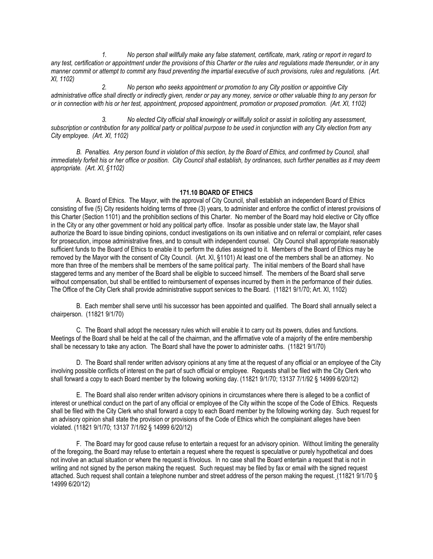*1. No person shall willfully make any false statement, certificate, mark, rating or report in regard to any test, certification or appointment under the provisions of this Charter or the rules and regulations made thereunder, or in any manner commit or attempt to commit any fraud preventing the impartial executive of such provisions, rules and regulations. (Art. XI, 1102)*

*2. No person who seeks appointment or promotion to any City position or appointive City administrative office shall directly or indirectly given, render or pay any money, service or other valuable thing to any person for or in connection with his or her test, appointment, proposed appointment, promotion or proposed promotion. (Art. XI, 1102)*

*3. No elected City official shall knowingly or willfully solicit or assist in soliciting any assessment, subscription or contribution for any political party or political purpose to be used in conjunction with any City election from any City employee. (Art. XI, 1102)*

*B. Penalties. Any person found in violation of this section, by the Board of Ethics, and confirmed by Council, shall immediately forfeit his or her office or position. City Council shall establish, by ordinances, such further penalties as it may deem appropriate. (Art. XI, §1102)*

#### **171.10 BOARD OF ETHICS**

A. Board of Ethics. The Mayor, with the approval of City Council, shall establish an independent Board of Ethics consisting of five (5) City residents holding terms of three (3) years, to administer and enforce the conflict of interest provisions of this Charter (Section 1101) and the prohibition sections of this Charter. No member of the Board may hold elective or City office in the City or any other government or hold any political party office. Insofar as possible under state law, the Mayor shall authorize the Board to issue binding opinions, conduct investigations on its own initiative and on referral or complaint, refer cases for prosecution, impose administrative fines, and to consult with independent counsel. City Council shall appropriate reasonably sufficient funds to the Board of Ethics to enable it to perform the duties assigned to it. Members of the Board of Ethics may be removed by the Mayor with the consent of City Council. (Art. XI, §1101) At least one of the members shall be an attorney. No more than three of the members shall be members of the same political party. The initial members of the Board shall have staggered terms and any member of the Board shall be eligible to succeed himself. The members of the Board shall serve without compensation, but shall be entitled to reimbursement of expenses incurred by them in the performance of their duties. The Office of the City Clerk shall provide administrative support services to the Board. (11821 9/1/70; Art. XI, 1102)

B. Each member shall serve until his successor has been appointed and qualified. The Board shall annually select a chairperson. (11821 9/1/70)

C. The Board shall adopt the necessary rules which will enable it to carry out its powers, duties and functions. Meetings of the Board shall be held at the call of the chairman, and the affirmative vote of a majority of the entire membership shall be necessary to take any action. The Board shall have the power to administer oaths. (11821 9/1/70)

D. The Board shall render written advisory opinions at any time at the request of any official or an employee of the City involving possible conflicts of interest on the part of such official or employee. Requests shall be filed with the City Clerk who shall forward a copy to each Board member by the following working day. (11821 9/1/70; 13137 7/1/92 § 14999 6/20/12)

E. The Board shall also render written advisory opinions in circumstances where there is alleged to be a conflict of interest or unethical conduct on the part of any official or employee of the City within the scope of the Code of Ethics. Requests shall be filed with the City Clerk who shall forward a copy to each Board member by the following working day. Such request for an advisory opinion shall state the provision or provisions of the Code of Ethics which the complainant alleges have been violated. (11821 9/1/70; 13137 7/1/92 § 14999 6/20/12)

F. The Board may for good cause refuse to entertain a request for an advisory opinion. Without limiting the generality of the foregoing, the Board may refuse to entertain a request where the request is speculative or purely hypothetical and does not involve an actual situation or where the request is frivolous. In no case shall the Board entertain a request that is not in writing and not signed by the person making the request. Such request may be filed by fax or email with the signed request attached. Such request shall contain a telephone number and street address of the person making the request. (11821 9/1/70 § 14999 6/20/12)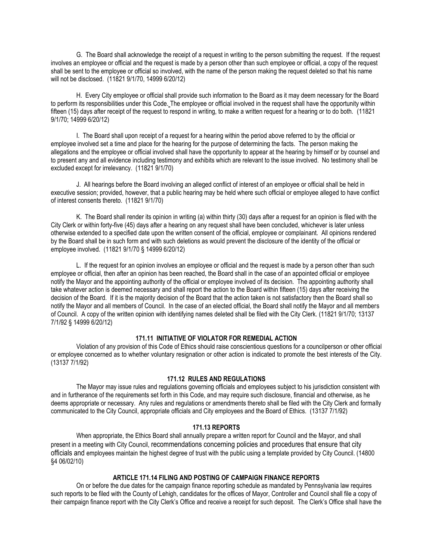G. The Board shall acknowledge the receipt of a request in writing to the person submitting the request. If the request involves an employee or official and the request is made by a person other than such employee or official, a copy of the request shall be sent to the employee or official so involved, with the name of the person making the request deleted so that his name will not be disclosed. (11821 9/1/70, 14999 6/20/12)

H. Every City employee or official shall provide such information to the Board as it may deem necessary for the Board to perform its responsibilities under this Code. The employee or official involved in the request shall have the opportunity within fifteen (15) days after receipt of the request to respond in writing, to make a written request for a hearing or to do both. (11821 9/1/70; 14999 6/20/12)

I. The Board shall upon receipt of a request for a hearing within the period above referred to by the official or employee involved set a time and place for the hearing for the purpose of determining the facts. The person making the allegations and the employee or official involved shall have the opportunity to appear at the hearing by himself or by counsel and to present any and all evidence including testimony and exhibits which are relevant to the issue involved. No testimony shall be excluded except for irrelevancy. (11821 9/1/70)

J. All hearings before the Board involving an alleged conflict of interest of an employee or official shall be held in executive session; provided, however, that a public hearing may be held where such official or employee alleged to have conflict of interest consents thereto. (11821 9/1/70)

K. The Board shall render its opinion in writing (a) within thirty (30) days after a request for an opinion is filed with the City Clerk or within forty-five (45) days after a hearing on any request shall have been concluded, whichever is later unless otherwise extended to a specified date upon the written consent of the official, employee or complainant. All opinions rendered by the Board shall be in such form and with such deletions as would prevent the disclosure of the identity of the official or employee involved. (11821 9/1/70 § 14999 6/20/12)

L. If the request for an opinion involves an employee or official and the request is made by a person other than such employee or official, then after an opinion has been reached, the Board shall in the case of an appointed official or employee notify the Mayor and the appointing authority of the official or employee involved of its decision. The appointing authority shall take whatever action is deemed necessary and shall report the action to the Board within fifteen (15) days after receiving the decision of the Board. If it is the majority decision of the Board that the action taken is not satisfactory then the Board shall so notify the Mayor and all members of Council. In the case of an elected official, the Board shall notify the Mayor and all members of Council. A copy of the written opinion with identifying names deleted shall be filed with the City Clerk. (11821 9/1/70; 13137 7/1/92 § 14999 6/20/12)

### **171.11 INITIATIVE OF VIOLATOR FOR REMEDIAL ACTION**

Violation of any provision of this Code of Ethics should raise conscientious questions for a councilperson or other official or employee concerned as to whether voluntary resignation or other action is indicated to promote the best interests of the City. (13137 7/1/92)

#### **171.12 RULES AND REGULATIONS**

The Mayor may issue rules and regulations governing officials and employees subject to his jurisdiction consistent with and in furtherance of the requirements set forth in this Code, and may require such disclosure, financial and otherwise, as he deems appropriate or necessary. Any rules and regulations or amendments thereto shall be filed with the City Clerk and formally communicated to the City Council, appropriate officials and City employees and the Board of Ethics. (13137 7/1/92)

#### **171.13 REPORTS**

When appropriate, the Ethics Board shall annually prepare a written report for Council and the Mayor, and shall present in a meeting with City Council, recommendations concerning policies and procedures that ensure that city officials and employees maintain the highest degree of trust with the public using a template provided by City Council. (14800 §4 06/02/10)

# **ARTICLE 171.14 FILING AND POSTING OF CAMPAIGN FINANCE REPORTS**

On or before the due dates for the campaign finance reporting schedule as mandated by Pennsylvania law requires such reports to be filed with the County of Lehigh, candidates for the offices of Mayor, Controller and Council shall file a copy of their campaign finance report with the City Clerk's Office and receive a receipt for such deposit. The Clerk's Office shall have the